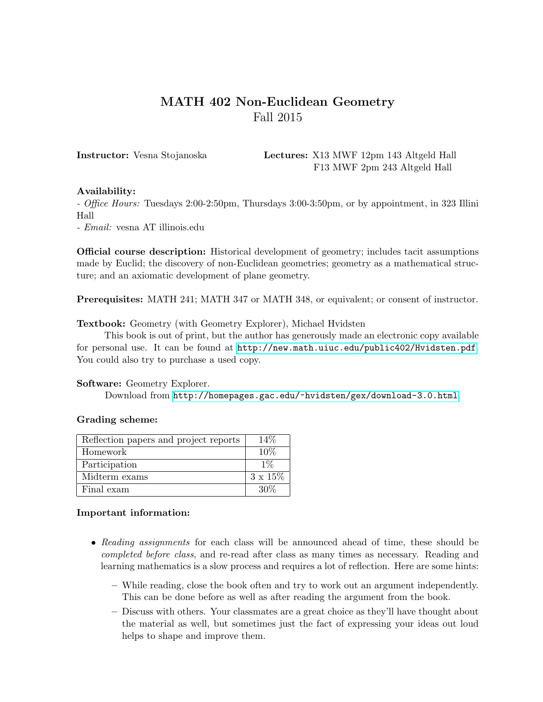# MATH 402 Non-Euclidean Geometry Fall 2015

Instructor: Vesna Stojanoska Lectures: X13 MWF 12pm 143 Altgeld Hall F13 MWF 2pm 243 Altgeld Hall

## Availability:

- Office Hours: Tuesdays 2:00-2:50pm, Thursdays 3:00-3:50pm, or by appointment, in 323 Illini Hall

- Email: vesna AT illinois.edu

Official course description: Historical development of geometry; includes tacit assumptions made by Euclid; the discovery of non-Euclidean geometries; geometry as a mathematical structure; and an axiomatic development of plane geometry.

Prerequisites: MATH 241; MATH 347 or MATH 348, or equivalent; or consent of instructor.

Textbook: Geometry (with Geometry Explorer), Michael Hvidsten

This book is out of print, but the author has generously made an electronic copy available for personal use. It can be found at <http://new.math.uiuc.edu/public402/Hvidsten.pdf>. You could also try to purchase a used copy.

#### Software: Geometry Explorer.

Download from <http://homepages.gac.edu/~hvidsten/gex/download-3.0.html>.

## Grading scheme:

| Reflection papers and project reports | 14\%            |
|---------------------------------------|-----------------|
| Homework                              | 10%             |
| Participation                         | $1\%$           |
| Midterm exams                         | $3 \times 15\%$ |
| Final exam                            | .30\%           |

## Important information:

- Reading assignments for each class will be announced ahead of time, these should be completed before class, and re-read after class as many times as necessary. Reading and learning mathematics is a slow process and requires a lot of reflection. Here are some hints:
	- While reading, close the book often and try to work out an argument independently. This can be done before as well as after reading the argument from the book.
	- Discuss with others. Your classmates are a great choice as they'll have thought about the material as well, but sometimes just the fact of expressing your ideas out loud helps to shape and improve them.